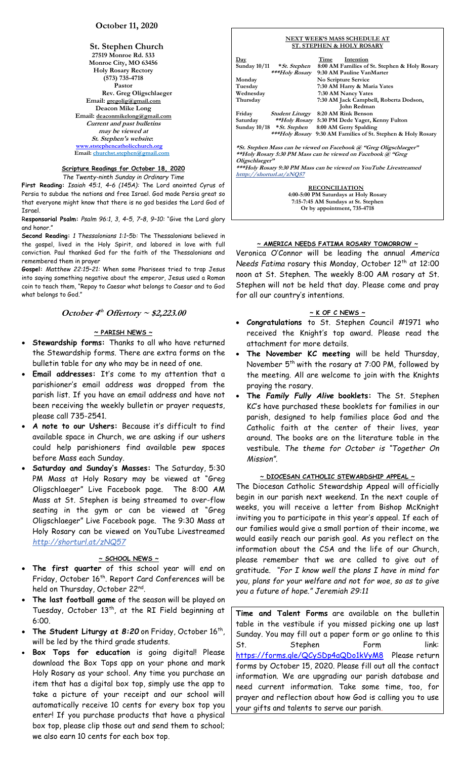**St. Stephen Church 27519 Monroe Rd. 533 Monroe City, MO 63456 Holy Rosary Rectory (573) 735-4718 Pastor Rev. Greg Oligschlaeger Email: gregolig@gmail.com Deacon Mike Long Email: deaconmikelong@gmail.com Current and past bulletins may be viewed at St. Stephen's website: [www.ststephencatholicchurch.org](http://www.ststephencatholicchurch.org/) Email: [churchst.stephen@gmail.com](mailto:churchst.stephen@gmail.com)**

#### **Scripture Readings for October 18, 2020**

*The Twenty-ninth Sunday in Ordinary Time*

**First Reading:** *Isaiah 45:1, 4–6 (145A):* The Lord anointed Cyrus of Persia to subdue the nations and free Israel. God made Persia great so that everyone might know that there is no god besides the Lord God of Israel.

R**esponsorial Psalm:** *Psalm 96:1, 3, 4–5, 7–8, 9–10:* "Give the Lord glory and honor.

**Second Reading:** *1 Thessalonians 1:1–5b:* The Thessalonians believed in the gospel, lived in the Holy Spirit, and labored in love with full conviction. Paul thanked God for the faith of the Thessalonians and remembered them in prayer

**Gospel:** *Matthew 22:15–21:* When some Pharisees tried to trap Jesus into saying something negative about the emperor, Jesus used a Roman coin to teach them, "Repay to Caesar what belongs to Caesar and to God what belongs to God."

### **October 4 th Offertory ~ \$2,223.00**

#### **~ PARISH NEWS ~**

- **Stewardship forms:** Thanks to all who have returned the Stewardship forms. There are extra forms on the bulletin table for any who may be in need of one.
- **Email addresses:** It's come to my attention that a parishioner's email address was dropped from the parish list. If you have an email address and have not been receiving the weekly bulletin or prayer requests, please call 735-2541.
- **A note to our Ushers:** Because it's difficult to find available space in Church, we are asking if our ushers could help parishioners find available pew spaces before Mass each Sunday.
- **Saturday and Sunday's Masses:** The Saturday, 5:30 PM Mass at Holy Rosary may be viewed at "Greg Oligschlaeger" Live Facebook page. The 8:00 AM Mass at St. Stephen is being streamed to over-flow seating in the gym or can be viewed at "Greg Oligschlaeger" Live Facebook page. The 9:30 Mass at Holy Rosary can be viewed on YouTube Livestreamed *http://shorturl.at/zNQ57*

#### **~ SCHOOL NEWS ~**

- **The first quarter** of this school year will end on Friday, October 16<sup>th</sup>. Report Card Conferences will be held on Thursday, October 22<sup>nd</sup>.
- **The last football game** of the season will be played on Tuesday, October 13<sup>th</sup>, at the RI Field beginning at 6:00.
- The Student Liturgy at 8:20 on Friday, October 16<sup>th</sup>, will be led by the third grade students.
- **Box Tops for education** is going digital! Please download the Box Tops app on your phone and mark Holy Rosary as your school. Any time you purchase an item that has a digital box top, simply use the app to take a picture of your receipt and our school will automatically receive 10 cents for every box top you enter! If you purchase products that have a physical box top, please clip those out and send them to school; we also earn 10 cents for each box top.

|                       |                                                                    | NEXT WEEK'S MASS SCHEDULE AT<br><b>ST. STEPHEN &amp; HOLY ROSARY</b> |      |                                                         |  |  |
|-----------------------|--------------------------------------------------------------------|----------------------------------------------------------------------|------|---------------------------------------------------------|--|--|
|                       | $\mathbf{Day}$                                                     |                                                                      | Time | Intention                                               |  |  |
|                       |                                                                    | Sunday $10/11$ * <i>St. Stephen</i>                                  |      | 8:00 AM Families of St. Stephen & Holy Rosary           |  |  |
|                       |                                                                    |                                                                      |      | ***Holy Rosary 9:30 AM Pauline VanMarter                |  |  |
|                       | Monday                                                             |                                                                      |      | No Scripture Service                                    |  |  |
|                       | Tuesday                                                            |                                                                      |      | 7:30 AM Harry & Maria Yates                             |  |  |
|                       | Wednesday                                                          |                                                                      |      | 7:30 AM Nancy Yates                                     |  |  |
|                       | Thursday                                                           |                                                                      |      | 7:30 AM Jack Campbell, Roberta Dodson,                  |  |  |
|                       |                                                                    |                                                                      |      | John Redman                                             |  |  |
|                       | Friday                                                             | <b>Student Liturgy</b> 8:20 AM Rink Benson                           |      |                                                         |  |  |
|                       |                                                                    |                                                                      |      | Saturday **Holy Rosary 5:30 PM Dede Yager, Kenny Fulton |  |  |
|                       |                                                                    | Sunday 10/18 * St. Stephen 8:00 AM Gerry Spalding                    |      |                                                         |  |  |
|                       |                                                                    | ***Holy Rosary                                                       |      | 9:30 AM Families of St. Stephen & Holy Rosary           |  |  |
|                       | *St. Stephen Mass can be viewed on Facebook @ "Greg Oligschlaeger" |                                                                      |      |                                                         |  |  |
|                       | **Holy Rosary 5:30 PM Mass can be viewed on Facebook @ "Greg       |                                                                      |      |                                                         |  |  |
|                       | Oligschlaeger"                                                     |                                                                      |      |                                                         |  |  |
|                       | ***Holy Rosary 9:30 PM Mass can be viewed on YouTube Livestreamed  |                                                                      |      |                                                         |  |  |
|                       | $\frac{http://shorturl.at/zNQ57}{http://shorturl.at/zNQ57}$        |                                                                      |      |                                                         |  |  |
| <b>RECONCILIATION</b> |                                                                    |                                                                      |      |                                                         |  |  |
|                       | 4:00-5:00 PM Saturdays at Holy Rosary                              |                                                                      |      |                                                         |  |  |
|                       | 7:15-7:45 AM Sundays at St. Stephen                                |                                                                      |      |                                                         |  |  |

#### **~ AMERICA NEEDS FATIMA ROSARY TOMORROW ~**

**Or by appointment, 735-4718**

Veronica O'Connor will be leading the annual *America Needs Fatima rosary this Monday, October 12<sup>th</sup> at 12:00* noon at St. Stephen. The weekly 8:00 AM rosary at St. Stephen will not be held that day. Please come and pray for all our country's intentions.

#### **~ K OF C NEWS ~**

- **Congratulations** to St. Stephen Council #1971 who received the Knight's top award. Please read the attachment for more details.
- **The November KC meeting** will be held Thursday, November 5<sup>th</sup> with the rosary at 7:00 PM, followed by the meeting. All are welcome to join with the Knights praying the rosary.
- **The** *Family Fully Alive* **booklets:** The St. Stephen KC's have purchased these booklets for families in our parish, designed to help families place God and the Catholic faith at the center of their lives, year around. The books are on the literature table in the vestibule. *The theme for October is "Together On Mission"*.

## **~ DIOCESAN CATHOLIC STEWARDSHIP APPEAL ~**

The Diocesan Catholic Stewardship Appeal will officially begin in our parish next weekend. In the next couple of weeks, you will receive a letter from Bishop McKnight inviting you to participate in this year's appeal. If each of our families would give a small portion of their income, we would easily reach our parish goal. As you reflect on the information about the CSA and the life of our Church, please remember that we are called to give out of gratitude. *"For I know well the plans I have in mind for you, plans for your welfare and not for woe, so as to give you a future of hope." Jeremiah 29:11*

**Time and Talent Forms** are available on the bulletin table in the vestibule if you missed picking one up last Sunday. You may fill out a paper form or go online to this St. Stephen Form link: <https://forms.gle/QCySDp4aQDo1kVyM8>Please return forms by October 15, 2020. Please fill out all the contact information. We are upgrading our parish database and need current information. Take some time, too, for prayer and reflection about how God is calling you to use your gifts and talents to serve our parish.